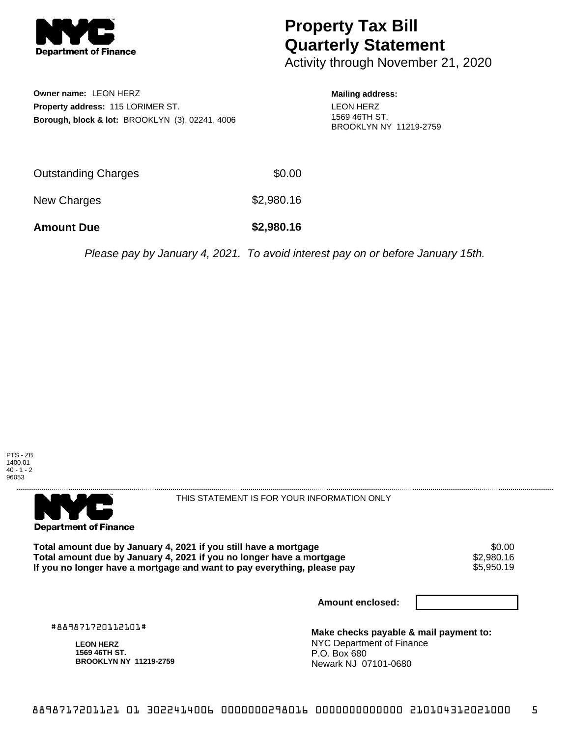

## **Property Tax Bill Quarterly Statement**

Activity through November 21, 2020

**Owner name:** LEON HERZ **Property address:** 115 LORIMER ST. **Borough, block & lot:** BROOKLYN (3), 02241, 4006 **Mailing address:** LEON HERZ 1569 46TH ST. BROOKLYN NY 11219-2759

| <b>Amount Due</b>   | \$2,980.16 |
|---------------------|------------|
| New Charges         | \$2,980.16 |
| Outstanding Charges | \$0.00     |

Please pay by January 4, 2021. To avoid interest pay on or before January 15th.





THIS STATEMENT IS FOR YOUR INFORMATION ONLY

Total amount due by January 4, 2021 if you still have a mortgage \$0.00<br>Total amount due by January 4, 2021 if you no longer have a mortgage \$2.980.16 **Total amount due by January 4, 2021 if you no longer have a mortgage**  $$2,980.16$ **<br>If you no longer have a mortgage and want to pay everything, please pay <b>show that have a** \$5,950.19 If you no longer have a mortgage and want to pay everything, please pay

**Amount enclosed:**

#889871720112101#

**LEON HERZ 1569 46TH ST. BROOKLYN NY 11219-2759**

**Make checks payable & mail payment to:** NYC Department of Finance P.O. Box 680 Newark NJ 07101-0680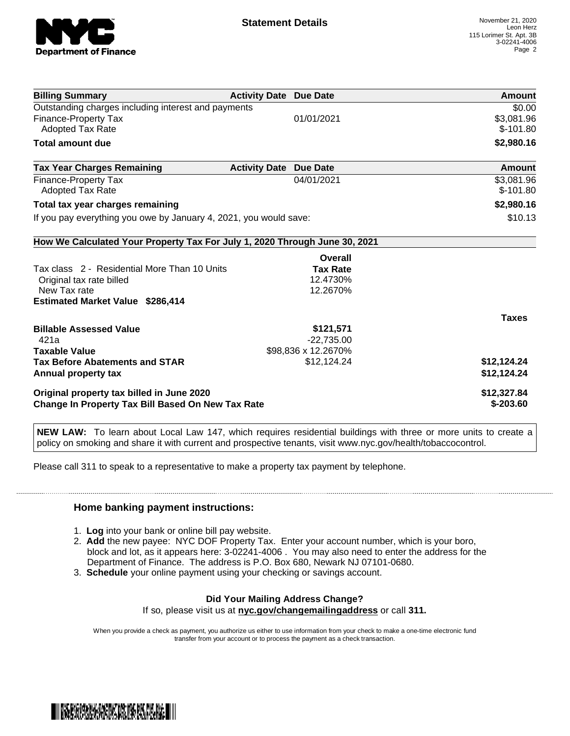

| <b>Billing Summary</b>                                                     | <b>Activity Date Due Date</b>           | Amount       |
|----------------------------------------------------------------------------|-----------------------------------------|--------------|
| Outstanding charges including interest and payments                        |                                         | \$0.00       |
| <b>Finance-Property Tax</b>                                                | 01/01/2021                              | \$3,081.96   |
| <b>Adopted Tax Rate</b>                                                    |                                         | $$-101.80$   |
| <b>Total amount due</b>                                                    |                                         | \$2,980.16   |
| <b>Tax Year Charges Remaining</b>                                          | <b>Activity Date</b><br><b>Due Date</b> | Amount       |
| Finance-Property Tax                                                       | 04/01/2021                              | \$3,081.96   |
| <b>Adopted Tax Rate</b>                                                    |                                         | $$-101.80$   |
| Total tax year charges remaining                                           |                                         | \$2,980.16   |
| If you pay everything you owe by January 4, 2021, you would save:          |                                         | \$10.13      |
| How We Calculated Your Property Tax For July 1, 2020 Through June 30, 2021 |                                         |              |
|                                                                            | Overall                                 |              |
| Tax class 2 - Residential More Than 10 Units                               | <b>Tax Rate</b>                         |              |
| Original tax rate billed                                                   | 12.4730%                                |              |
| New Tax rate                                                               | 12.2670%                                |              |
| <b>Estimated Market Value \$286,414</b>                                    |                                         |              |
|                                                                            |                                         | <b>Taxes</b> |
| <b>Billable Assessed Value</b>                                             | \$121,571                               |              |
| 421a                                                                       | $-22,735.00$                            |              |
| <b>Taxable Value</b>                                                       | \$98,836 x 12.2670%                     |              |
| <b>Tax Before Abatements and STAR</b>                                      | \$12,124.24                             | \$12,124.24  |
| Annual property tax                                                        |                                         | \$12,124.24  |
| Original property tax billed in June 2020                                  |                                         | \$12,327.84  |
| <b>Change In Property Tax Bill Based On New Tax Rate</b>                   |                                         | $$-203.60$   |

**NEW LAW:** To learn about Local Law 147, which requires residential buildings with three or more units to create a policy on smoking and share it with current and prospective tenants, visit www.nyc.gov/health/tobaccocontrol.

Please call 311 to speak to a representative to make a property tax payment by telephone.

## **Home banking payment instructions:**

- 1. **Log** into your bank or online bill pay website.
- 2. **Add** the new payee: NYC DOF Property Tax. Enter your account number, which is your boro, block and lot, as it appears here: 3-02241-4006 . You may also need to enter the address for the Department of Finance. The address is P.O. Box 680, Newark NJ 07101-0680.
- 3. **Schedule** your online payment using your checking or savings account.

## **Did Your Mailing Address Change?**

If so, please visit us at **nyc.gov/changemailingaddress** or call **311.**

When you provide a check as payment, you authorize us either to use information from your check to make a one-time electronic fund transfer from your account or to process the payment as a check transaction.